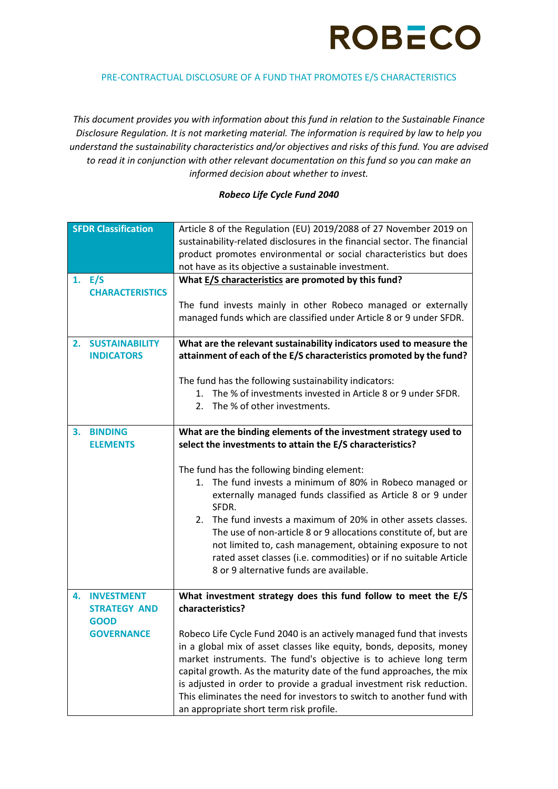

*This document provides you with information about this fund in relation to the Sustainable Finance Disclosure Regulation. It is not marketing material. The information is required by law to help you understand the sustainability characteristics and/or objectives and risks of this fund. You are advised to read it in conjunction with other relevant documentation on this fund so you can make an informed decision about whether to invest.*

## *Robeco Life Cycle Fund 2040*

| <b>SFDR Classification</b><br>1. E/S<br><b>CHARACTERISTICS</b> |                                                         | Article 8 of the Regulation (EU) 2019/2088 of 27 November 2019 on<br>sustainability-related disclosures in the financial sector. The financial<br>product promotes environmental or social characteristics but does<br>not have as its objective a sustainable investment.<br>What E/S characteristics are promoted by this fund?                                                                                                                                                    |
|----------------------------------------------------------------|---------------------------------------------------------|--------------------------------------------------------------------------------------------------------------------------------------------------------------------------------------------------------------------------------------------------------------------------------------------------------------------------------------------------------------------------------------------------------------------------------------------------------------------------------------|
|                                                                |                                                         | The fund invests mainly in other Robeco managed or externally<br>managed funds which are classified under Article 8 or 9 under SFDR.                                                                                                                                                                                                                                                                                                                                                 |
|                                                                | 2. SUSTAINABILITY<br><b>INDICATORS</b>                  | What are the relevant sustainability indicators used to measure the<br>attainment of each of the E/S characteristics promoted by the fund?                                                                                                                                                                                                                                                                                                                                           |
|                                                                |                                                         | The fund has the following sustainability indicators:<br>1. The % of investments invested in Article 8 or 9 under SFDR.<br>2. The % of other investments.                                                                                                                                                                                                                                                                                                                            |
| з.                                                             | <b>BINDING</b><br><b>ELEMENTS</b>                       | What are the binding elements of the investment strategy used to<br>select the investments to attain the E/S characteristics?<br>The fund has the following binding element:<br>The fund invests a minimum of 80% in Robeco managed or<br>1.<br>externally managed funds classified as Article 8 or 9 under<br>SFDR.<br>The fund invests a maximum of 20% in other assets classes.<br>2.                                                                                             |
|                                                                |                                                         | The use of non-article 8 or 9 allocations constitute of, but are<br>not limited to, cash management, obtaining exposure to not<br>rated asset classes (i.e. commodities) or if no suitable Article<br>8 or 9 alternative funds are available.                                                                                                                                                                                                                                        |
| 4.                                                             | <b>INVESTMENT</b><br><b>STRATEGY AND</b><br><b>GOOD</b> | What investment strategy does this fund follow to meet the E/S<br>characteristics?                                                                                                                                                                                                                                                                                                                                                                                                   |
|                                                                | <b>GOVERNANCE</b>                                       | Robeco Life Cycle Fund 2040 is an actively managed fund that invests<br>in a global mix of asset classes like equity, bonds, deposits, money<br>market instruments. The fund's objective is to achieve long term<br>capital growth. As the maturity date of the fund approaches, the mix<br>is adjusted in order to provide a gradual investment risk reduction.<br>This eliminates the need for investors to switch to another fund with<br>an appropriate short term risk profile. |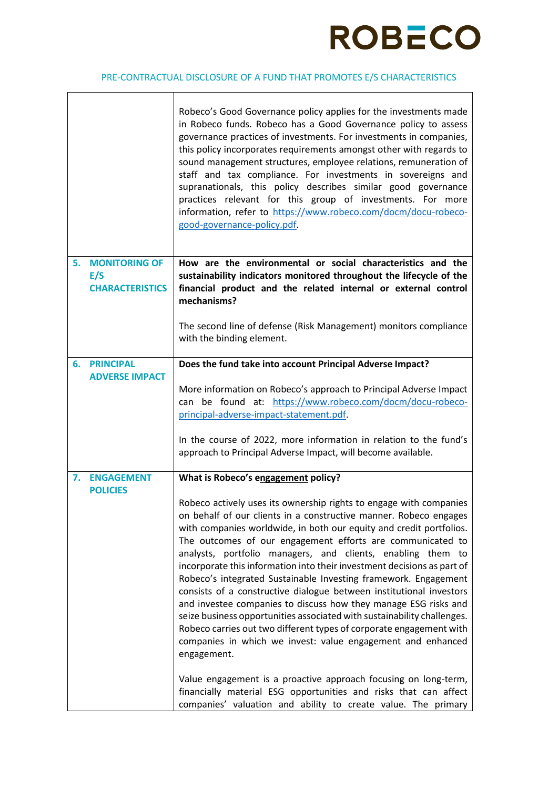

|    |                                                       | Robeco's Good Governance policy applies for the investments made<br>in Robeco funds. Robeco has a Good Governance policy to assess<br>governance practices of investments. For investments in companies,<br>this policy incorporates requirements amongst other with regards to<br>sound management structures, employee relations, remuneration of<br>staff and tax compliance. For investments in sovereigns and<br>supranationals, this policy describes similar good governance<br>practices relevant for this group of investments. For more<br>information, refer to https://www.robeco.com/docm/docu-robeco-<br>good-governance-policy.pdf.                                                                                                                                                                                                                  |
|----|-------------------------------------------------------|---------------------------------------------------------------------------------------------------------------------------------------------------------------------------------------------------------------------------------------------------------------------------------------------------------------------------------------------------------------------------------------------------------------------------------------------------------------------------------------------------------------------------------------------------------------------------------------------------------------------------------------------------------------------------------------------------------------------------------------------------------------------------------------------------------------------------------------------------------------------|
| 5. | <b>MONITORING OF</b><br>E/S<br><b>CHARACTERISTICS</b> | How are the environmental or social characteristics and the<br>sustainability indicators monitored throughout the lifecycle of the<br>financial product and the related internal or external control<br>mechanisms?<br>The second line of defense (Risk Management) monitors compliance                                                                                                                                                                                                                                                                                                                                                                                                                                                                                                                                                                             |
|    |                                                       | with the binding element.                                                                                                                                                                                                                                                                                                                                                                                                                                                                                                                                                                                                                                                                                                                                                                                                                                           |
| 6. | <b>PRINCIPAL</b><br><b>ADVERSE IMPACT</b>             | Does the fund take into account Principal Adverse Impact?                                                                                                                                                                                                                                                                                                                                                                                                                                                                                                                                                                                                                                                                                                                                                                                                           |
|    |                                                       | More information on Robeco's approach to Principal Adverse Impact<br>can be found at: https://www.robeco.com/docm/docu-robeco-<br>principal-adverse-impact-statement.pdf.                                                                                                                                                                                                                                                                                                                                                                                                                                                                                                                                                                                                                                                                                           |
|    |                                                       | In the course of 2022, more information in relation to the fund's<br>approach to Principal Adverse Impact, will become available.                                                                                                                                                                                                                                                                                                                                                                                                                                                                                                                                                                                                                                                                                                                                   |
| 7. | <b>ENGAGEMENT</b><br><b>POLICIES</b>                  | What is Robeco's engagement policy?                                                                                                                                                                                                                                                                                                                                                                                                                                                                                                                                                                                                                                                                                                                                                                                                                                 |
|    |                                                       | Robeco actively uses its ownership rights to engage with companies<br>on behalf of our clients in a constructive manner. Robeco engages<br>with companies worldwide, in both our equity and credit portfolios.<br>The outcomes of our engagement efforts are communicated to<br>analysts, portfolio managers, and clients, enabling them to<br>incorporate this information into their investment decisions as part of<br>Robeco's integrated Sustainable Investing framework. Engagement<br>consists of a constructive dialogue between institutional investors<br>and investee companies to discuss how they manage ESG risks and<br>seize business opportunities associated with sustainability challenges.<br>Robeco carries out two different types of corporate engagement with<br>companies in which we invest: value engagement and enhanced<br>engagement. |
|    |                                                       | Value engagement is a proactive approach focusing on long-term,<br>financially material ESG opportunities and risks that can affect<br>companies' valuation and ability to create value. The primary                                                                                                                                                                                                                                                                                                                                                                                                                                                                                                                                                                                                                                                                |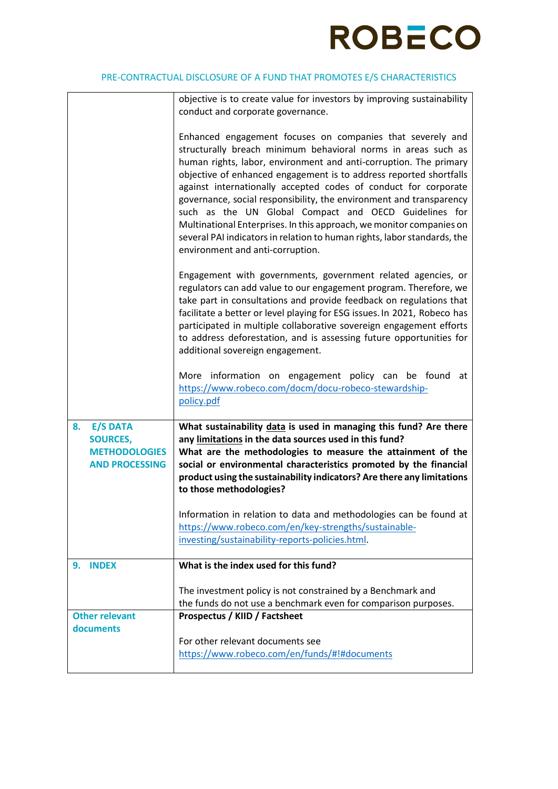

|                       | objective is to create value for investors by improving sustainability   |
|-----------------------|--------------------------------------------------------------------------|
|                       | conduct and corporate governance.                                        |
|                       |                                                                          |
|                       | Enhanced engagement focuses on companies that severely and               |
|                       | structurally breach minimum behavioral norms in areas such as            |
|                       | human rights, labor, environment and anti-corruption. The primary        |
|                       | objective of enhanced engagement is to address reported shortfalls       |
|                       | against internationally accepted codes of conduct for corporate          |
|                       | governance, social responsibility, the environment and transparency      |
|                       | such as the UN Global Compact and OECD Guidelines for                    |
|                       | Multinational Enterprises. In this approach, we monitor companies on     |
|                       | several PAI indicators in relation to human rights, labor standards, the |
|                       | environment and anti-corruption.                                         |
|                       | Engagement with governments, government related agencies, or             |
|                       | regulators can add value to our engagement program. Therefore, we        |
|                       | take part in consultations and provide feedback on regulations that      |
|                       | facilitate a better or level playing for ESG issues. In 2021, Robeco has |
|                       | participated in multiple collaborative sovereign engagement efforts      |
|                       | to address deforestation, and is assessing future opportunities for      |
|                       | additional sovereign engagement.                                         |
|                       | More information on engagement policy can be found at                    |
|                       | https://www.robeco.com/docm/docu-robeco-stewardship-                     |
|                       | policy.pdf                                                               |
| <b>E/S DATA</b><br>8. | What sustainability data is used in managing this fund? Are there        |
| <b>SOURCES,</b>       | any limitations in the data sources used in this fund?                   |
| <b>METHODOLOGIES</b>  | What are the methodologies to measure the attainment of the              |
| <b>AND PROCESSING</b> | social or environmental characteristics promoted by the financial        |
|                       | product using the sustainability indicators? Are there any limitations   |
|                       | to those methodologies?                                                  |
|                       | Information in relation to data and methodologies can be found at        |
|                       | https://www.robeco.com/en/key-strengths/sustainable-                     |
|                       | investing/sustainability-reports-policies.html                           |
|                       |                                                                          |
| <b>INDEX</b><br>9.    | What is the index used for this fund?                                    |
|                       | The investment policy is not constrained by a Benchmark and              |
|                       | the funds do not use a benchmark even for comparison purposes.           |
| <b>Other relevant</b> | Prospectus / KIID / Factsheet                                            |
| documents             |                                                                          |
|                       | For other relevant documents see                                         |
|                       | https://www.robeco.com/en/funds/#!#documents                             |
|                       |                                                                          |